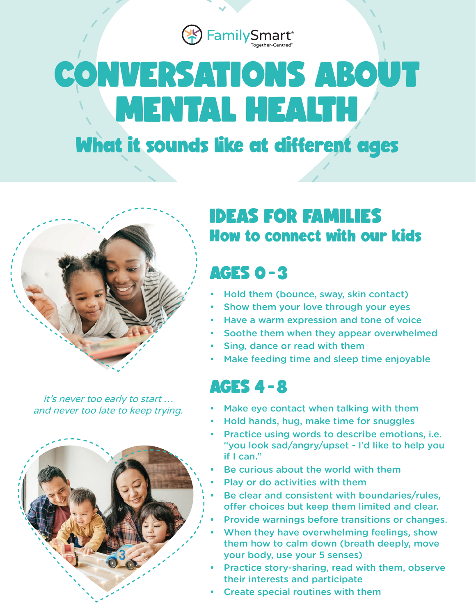<sup><sup>8</sup> Family Smart®</sup>

# **CONVERSATIONS ABOUT MENTAL HEALTH**

## **What it sounds like at different ages**



It's never too early to start ... and never too late to keep trying.



### **IDEAS FOR FAMILIES How to connect with our kids**

#### **AGES 0-3**

- Hold them (bounce, sway, skin contact)
- Show them your love through your eyes
- Have a warm expression and tone of voice
- Soothe them when they appear overwhelmed
- Sing, dance or read with them
- Make feeding time and sleep time enjoyable

#### **AGES 4 -8**

- Make eye contact when talking with them
- Hold hands, hug, make time for snuggles
- Practice using words to describe emotions, *i.e.* "you look sad/angry/upset - I'd like to help you if I can."
- Be curious about the world with them
- Play or do activities with them
- Be clear and consistent with boundaries/rules, offer choices but keep them limited and clear.
- Provide warnings before transitions or changes.
- When they have overwhelming feelings, show them how to calm down (breath deeply, move your body, use your 5 senses)
- Practice story-sharing, read with them, observe their interests and participate
- Create special routines with them